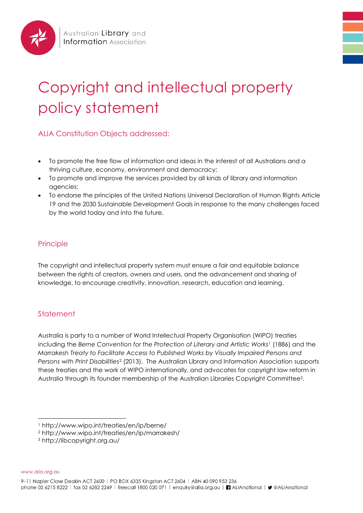

# Copyright and intellectual property policy statement

ALIA Constitution Objects addressed:

- To promote the free flow of information and ideas in the interest of all Australians and a thriving culture, economy, environment and democracy;
- To promote and improve the services provided by all kinds of library and information agencies;
- To endorse the principles of the United Nations Universal Declaration of Human Rights Article 19 and the 2030 Sustainable Development Goals in response to the many challenges faced by the world today and into the future.

## Principle

The copyright and intellectual property system must ensure a fair and equitable balance between the rights of creators, owners and users, and the advancement and sharing of knowledge, to encourage creativity, innovation, research, education and learning.

## **Statement**

Australia is party to a number of World Intellectual Property Organisation (WIPO) treaties including the *Berne Convention for the Protection of Literary and Artistic Works*<sup>1</sup> (1886) and the *Marrakesh Treaty to Facilitate Access to Published Works by Visually Impaired Persons and Persons with Print Disabilities*<sup>2</sup> (2013). The Australian Library and Information Association supports these treaties and the work of WIPO internationally, and advocates for copyright law reform in Australia through its founder membership of the Australian Libraries Copyright Committee3.

www.alia.org.au

l

<sup>1</sup> http://www.wipo.int/treaties/en/ip/berne/

<sup>2</sup> http://www.wipo.int/treaties/en/ip/marrakesh/

<sup>3</sup> http://libcopyright.org.au/